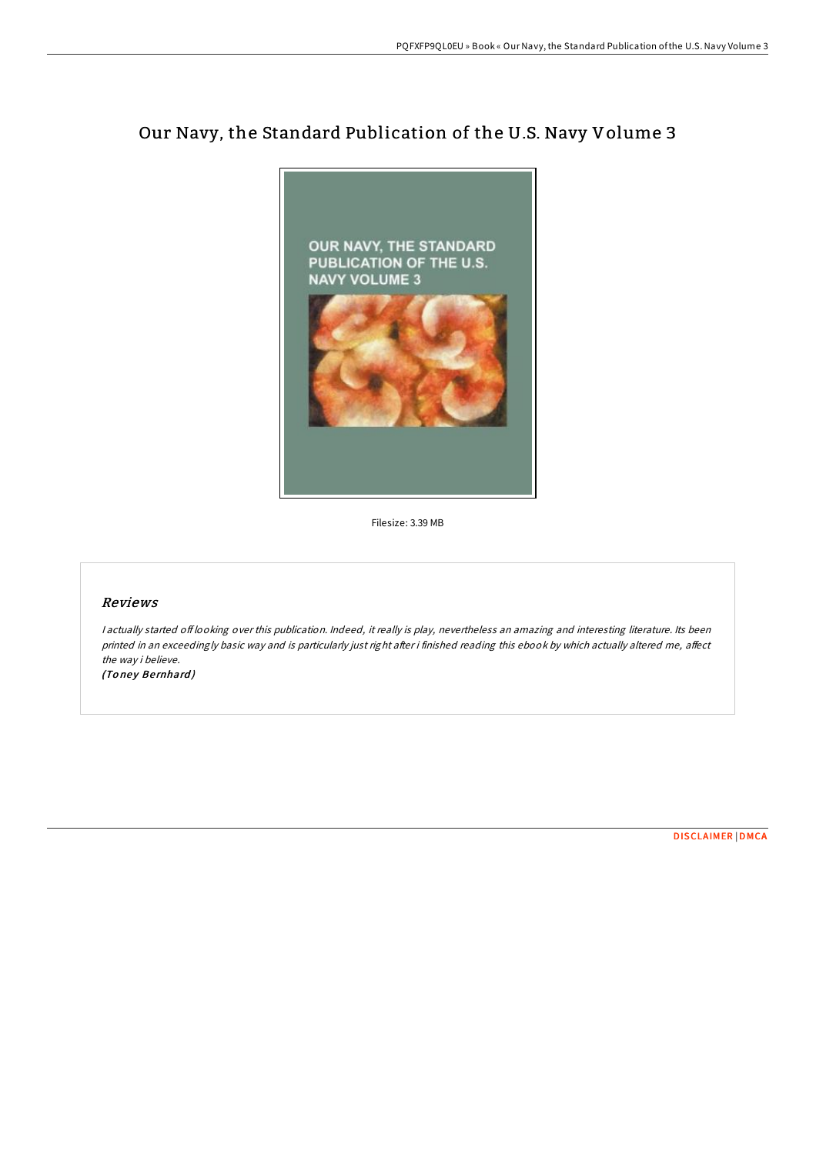## Our Navy, the Standard Publication of the U.S. Navy Volume 3



Filesize: 3.39 MB

## Reviews

<sup>I</sup> actually started of looking over this publication. Indeed, it really is play, nevertheless an amazing and interesting literature. Its been printed in an exceedingly basic way and is particularly just right after i finished reading this ebook by which actually altered me, affect the way i believe. (Toney Bernhard)

[DISCLAIMER](http://almighty24.tech/disclaimer.html) | [DMCA](http://almighty24.tech/dmca.html)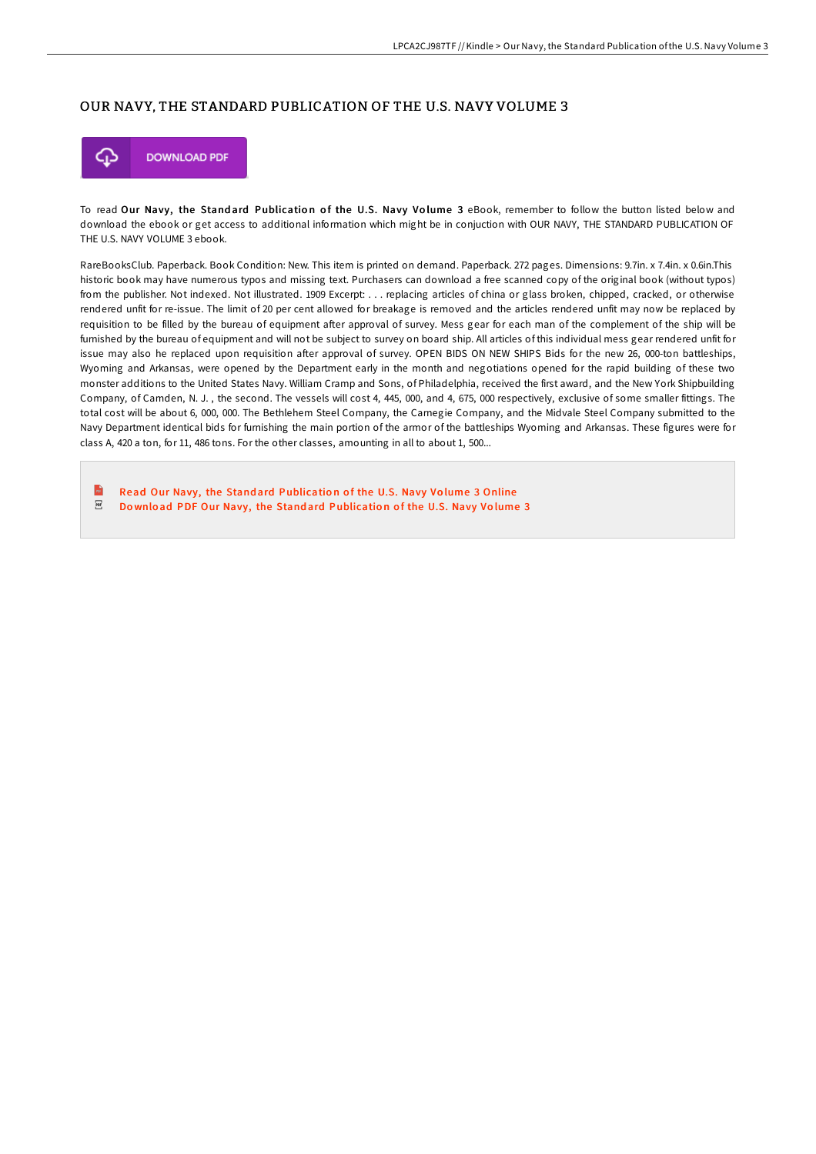## OUR NAVY, THE STANDARD PUBLICATION OF THE U.S. NAVY VOLUME 3



To read Our Navy, the Standard Publication of the U.S. Navy Volume 3 eBook, remember to follow the button listed below and download the ebook or get access to additional information which might be in conjuction with OUR NAVY, THE STANDARD PUBLICATION OF THE U.S. NAVY VOLUME 3 ebook.

RareBooksClub. Paperback. Book Condition: New. This item is printed on demand. Paperback. 272 pages. Dimensions: 9.7in. x 7.4in. x 0.6in.This historic book may have numerous typos and missing text. Purchasers can download a free scanned copy of the original book (without typos) from the publisher. Not indexed. Not illustrated. 1909 Excerpt: . . . replacing articles of china or glass broken, chipped, cracked, or otherwise rendered unfit for re-issue. The limit of 20 per cent allowed for breakage is removed and the articles rendered unfit may now be replaced by requisition to be filled by the bureau of equipment after approval of survey. Mess gear for each man of the complement of the ship will be furnished by the bureau of equipment and will not be subject to survey on board ship. All articles of this individual mess gear rendered unfit for issue may also he replaced upon requisition after approval of survey. OPEN BIDS ON NEW SHIPS Bids for the new 26, 000-ton battleships, Wyoming and Arkansas, were opened by the Department early in the month and negotiations opened for the rapid building of these two monster additions to the United States Navy. William Cramp and Sons, of Philadelphia, received the first award, and the New York Shipbuilding Company, of Camden, N. J. , the second. The vessels will cost 4, 445, 000, and 4, 675, 000 respectively, exclusive of some smaller fittings. The total cost will be about 6, 000, 000. The Bethlehem Steel Company, the Carnegie Company, and the Midvale Steel Company submitted to the Navy Department identical bids for furnishing the main portion of the armor of the battleships Wyoming and Arkansas. These figures were for class A, 420 a ton, for 11, 486 tons. For the other classes, amounting in all to about 1, 500...

 $\overline{\mathbf{m}}$ Read Our Navy, the Standard [Publicatio](http://almighty24.tech/our-navy-the-standard-publication-of-the-u-s-nav.html)n of the U.S. Navy Volume 3 Online  $\overline{\rm \bf PDF}$ Download PDF Our Navy, the Standard [Publicatio](http://almighty24.tech/our-navy-the-standard-publication-of-the-u-s-nav.html)n of the U.S. Navy Volume 3